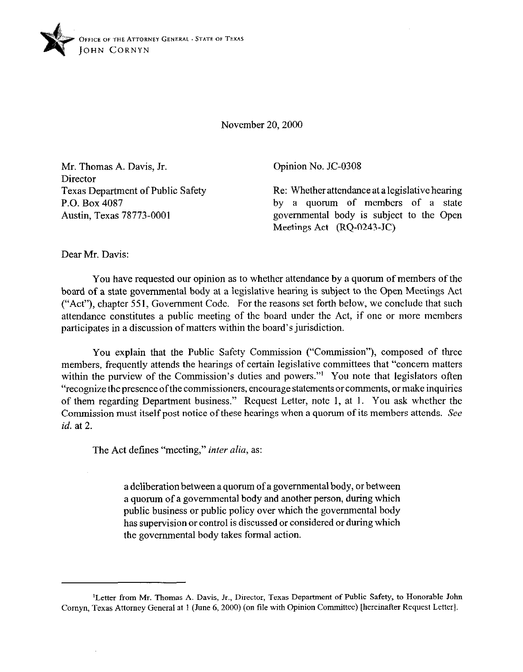

November 20, 2000

Mr. Thomas A. Davis, Jr. Director Texas Department of Public Safety P.O. Box 4087 Austin, Texas 78773-0001

Opinion No. JC-0308

Re: Whether attendance at a legislative hearing by a quorum of members of a state governmental body is subject to the Open Meetings Act (RQ-0243-JC)

Dear Mr. Davis:

You have requested our opinion as to whether attendance by a quorum of members of the board of a state governmental body at a legislative hearing is subject to the Open Meetings Act ("Act"), chapter 551, Government Code. For the reasons set forth below, we conclude that such attendance constitutes a public meeting of the board under the Act, if one or more members participates in a discussion of matters within the board's jurisdiction.

You explain that the Public Safety Commission ("Commission"), composed of three members, frequently attends the hearings of certain legislative committees that "concern matters within the purview of the Commission's duties and powers."<sup>1</sup> You note that legislators often "recognize the presence ofthe commissioners, encourage statements or comments, or make inquiries of them regarding Department business." Request Letter, note 1, at 1. You ask whether the Commission must itself post notice of these hearings when a quorum of its members attends. See *id.* at 2.

The Act defines "meeting," *inter alia,* as:

a deliberation between a quorum of a governmental body, or between a quorum of a governmental body and another person, during which public business or public policy over which the governmental body has supervision or control is discussed or considered or during which the governmental body takes formal action.

<sup>&</sup>lt;sup>1</sup>Letter from Mr. Thomas A. Davis, Jr., Director, Texas Department of Public Safety, to Honorable John Comyn, Texas Attorney General at 1 (June 6,200O) (on tile with Opinion Committee) [hereinafter Request Letter].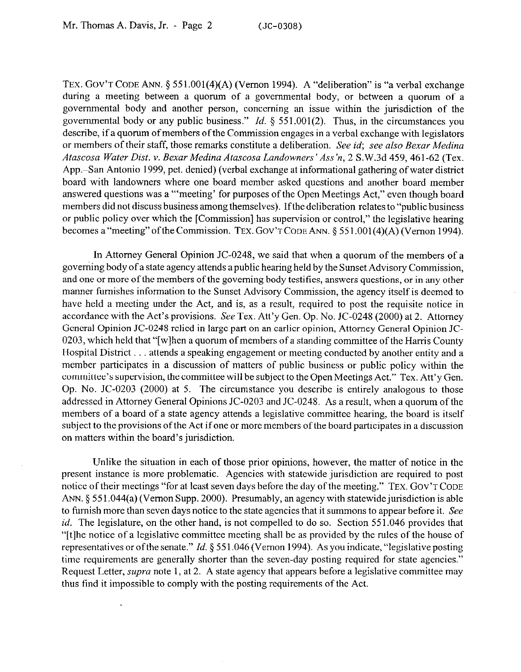TEX. GOV'T CODE ANN.  $\S 551.001(4)(A)$  (Vernon 1994). A "deliberation" is "a verbal exchange during a meeting between a quorum of a governmental body, or between a quorum of a governmental body and another person, concerning an issue within the jurisdiction of the governmental body or any public business." *Id.* 5 551.001(2). Thus, in the circumstances you describe, if a quorum of members of the Commission engages in a verbal exchange with legislators or members of their staff, those remarks constitute a deliberation. See *id, see also Bexar Medina*  Atascosa Water Dist. v. Bexar Medina Atascosa Landowners' Ass'n, 2 S.W.3d 459, 461-62 (Tex. App.-San Antonio 1999, pet. denied) (verbal exchange at informational gathering of water district board with landowners where one board member asked questions and another board member answered questions was a "'meeting' for purposes of the Open Meetings Act," even though board members did not discuss business among themselves). Ifthe deliberation relates to "public business or public policy over which the [Commission] has supervision or control," the legislative hearing becomes a "meeting" of the Commission. TEX. GOV'T CODE ANN. § 551,001(4)(A) (Vernon 1994).

In Attorney General Opinion JC-0248, we said that when a quorum of the members of a governing body of a state agency attends a public hearing held by the Sunset Advisory Commission, and one or more of the members of the governing body testifies, answers questions, or in any other manner furnishes information to the Sunset Advisory Commission, the agency itself is deemed to have held a meeting under the Act, and is, as a result, required to post the requisite notice in accordance with the Act's provisions. See Tex. Att'y Gen. Op. No. JC-0248 (2000) at 2. Attorney General Opinion JC-0248 relied in large part on an earlier opinion, Attorney General Opinion JC-0203, which held that "[w] hen a quorum of members of a standing committee of the Harris County Hospital District . . . attends a speaking engagement or meeting conducted by another entity and a member participates in a discussion of matters of public business or public policy within the committee's supervision, the committee will be subject to the Open Meetings Act." Tex. Att'y Gen. Op. No. JC-0203 (2000) at 5. The circumstance you describe is entirely analogous to those addressed in Attorney General Opinions JC-0203 and JC-0248. As a result, when a quorum of the members of a board of a state agency attends a legislative committee hearing, the board is itself subject to the provisions of the Act if one or more members of the board participates in a discussion on matters within the board's jurisdiction.

Unlike the situation in each of those prior opinions, however, the matter of notice in the present instance is more problematic. Agencies with statewide jurisdiction are required to post notice of their meetings "for at least seven days before the day of the meeting." TEX. GOV'T CODE ANN. § 551.044(a) (Vernon Supp. 2000). Presumably, an agency with statewide jurisdiction is able to furnish more than seven days notice to the state agencies that it summons to appear before it. See *id.* The legislature, on the other hand, is not compelled to do so. Section 551.046 provides that "[tlhe notice of a legislative committee meeting shall be as provided by the rules of the house of representatives or of the senate." *Id.* § 551.046 (Vernon 1994). As you indicate, "legislative posting time requirements are generally shorter than the seven-day posting required for state agencies." Request Letter, *supra* note 1, at 2. A state agency that appears before a legislative committee may thus find it impossible to comply with the posting requirements of the Act.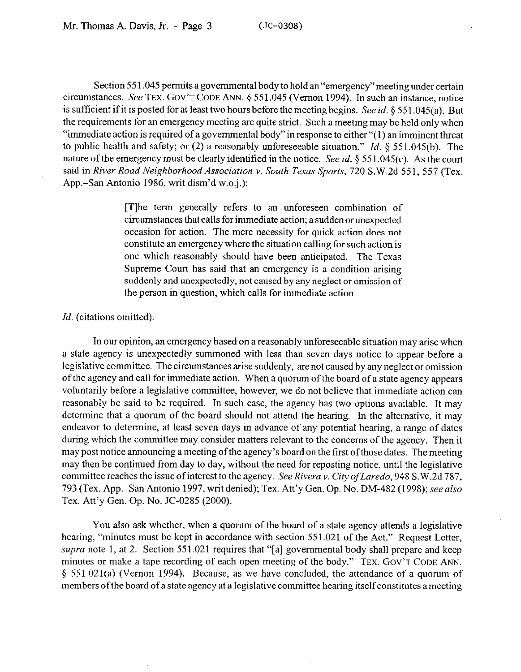Section 55 1.045 permits a governmental body to hold an "emergency" meeting under certain circumstances. See **TEX. GOV'T CODE ANN.** § 551.045 (Vernon 1994). In such an instance, notice is sufficient if it is posted for at least two hours before the meeting begins. See *id.* 5 55 1.045(a). But the requirements for an emergency meeting are quite strict. Such a meeting may be held only when "immediate action is required of a governmental body" in response to either "( 1) an imminent threat to public health and safety; or (2) a reasonably unforeseeable situation." *Id. 5 55 1.045(b).* The nature of the emergency must be clearly identified in the notice. See *id. § 55* 1.045(c). As the court said in *River Road Neighborhood Association v. South Texas Sports*, 720 S.W.2d 551, 557 (Tex. App.-San Antonio 1986, writ dism'd w.0.j.):

> [T]he term generally refers to an unforeseen combination of circumstances that calls for immediate action; a sudden orunexpected occasion for action. The mere necessity for quick action does not constitute an emergency where the situation calling for such action is one which reasonably should have been anticipated. The Texas Supreme Court has said that an emergency is a condition arising suddenly and unexpectedly, not caused by any neglect or omission of the person in question, which calls for immediate action,

## *Id.* (citations omitted).

In our opinion, an emergency based on a reasonably unforeseeable situation may arise when a state agency is unexpectedly summoned with less than seven days notice to appear before a legislative committee. The circumstances arise suddenly, are not caused by any neglect or omission of the agency and call for immediate action. When a quorum of the board of a state agency appears voluntarily before a legislative committee, however, we do not believe that immediate action can reasonably be said to be required. In such case, the agency has two options available. It may determine that a quorum of the board should not attend the hearing. In the alternative, it may endeavor to determine, at least seven days in advance of any potential hearing, a range of dates during which the committee may consider matters relevant to the concerns of the agency. Then it may post notice announcing a meeting of the agency's board on the first of those dates. The meeting may then be continued from day to day, without the need for reposting notice, until the legislative committeereaches the issue ofinterest to the agency. *SeeRivera v. Cityoflaredo, 948* S.W.2d 787, 793 (Tex. App.San Antonio 1997, writ denied); Tex. Att'y Gen. Op. No. DM-482 (1998); see *also*  Tex. Att'y Gen. Op. No. JC-0285 (2000).

You also ask whether, when a quorum of the board of a state agency attends a legislative hearing, "minutes must be kept in accordance with section 551.021 of the Act." Request Letter, *supra* note 1, at 2. Section 551.021 requires that "[a] governmental body shall prepare and keep minutes or make a tape recording of each open meeting of the body." **TEX. GOV'T CODE ANN.**  5 551.021(a) (Vernon 1994). Because, as we have concluded, the attendance of a quorum of members of the board of a state agency at a legislative committee hearing itself constitutes a meeting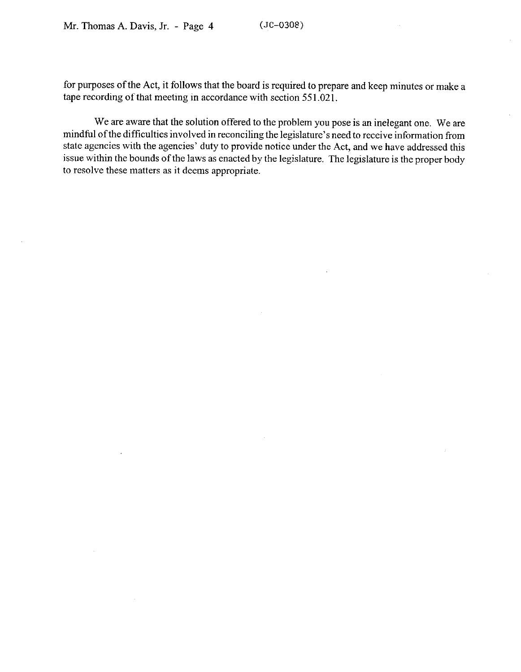for purposes of the Act, it follows that the board is required to prepare and keep minutes or make a tape recording of that meeting in accordance with section 551.021.

We are aware that the solution offered to the problem you pose is an inelegant one. We are mindful ofthe difficulties involved in reconciling the legislature's need to receive information from state agencies with the agencies' duty to provide notice under the Act, and we have addressed this issue within the bounds of the laws as enacted by the legislature. The legislature is the proper body to resolve these matters as it deems appropriate.